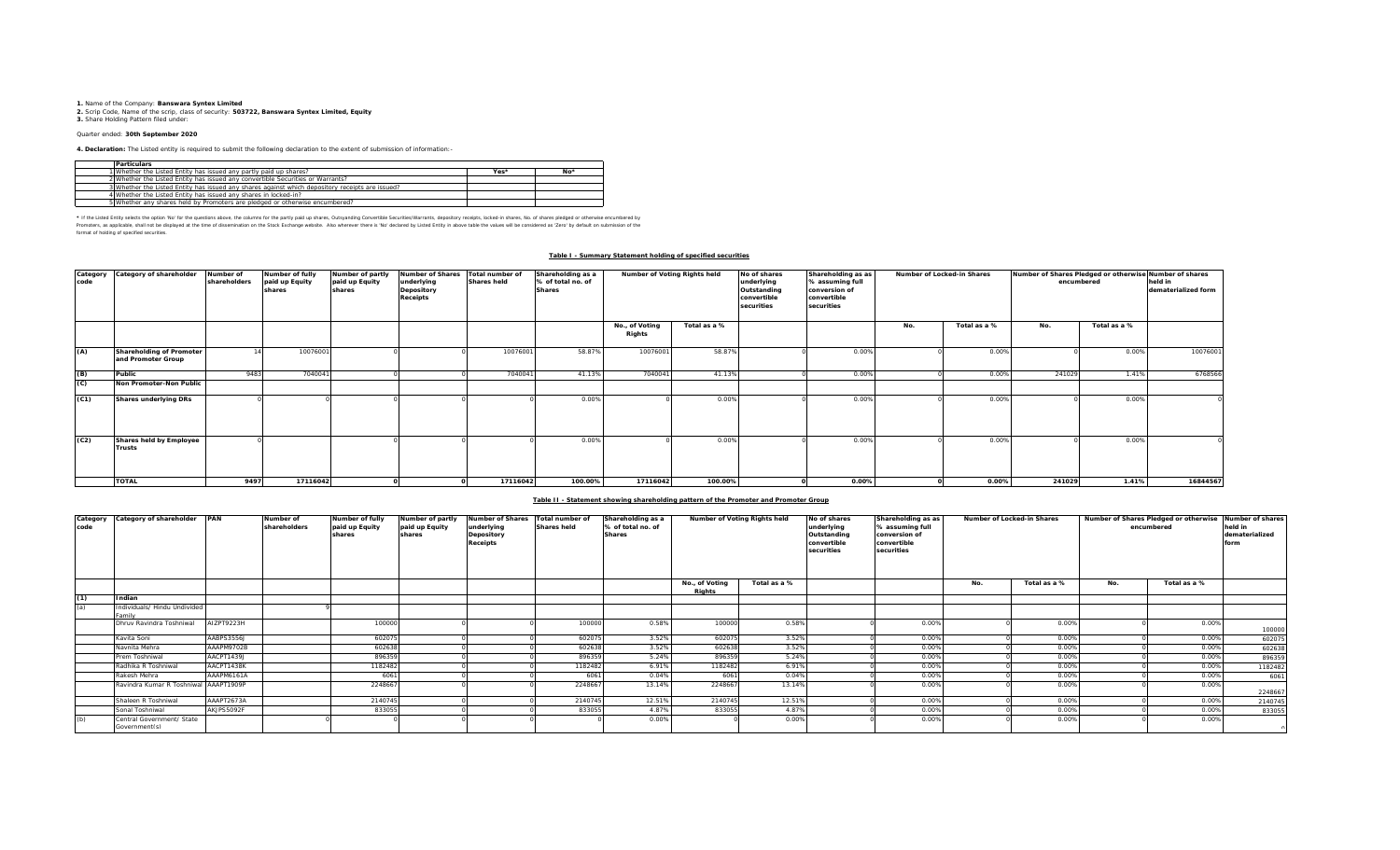**1.** Name of the Company: **Banswara Syntex Limited 2.** Scrip Code, Name of the scrip, class of security: **503722, Banswara Syntex Limited, Equity 3.** Share Holding Pattern filed under:

# Quarter ended: **30th September 2020**

**4. Declaration:** The Listed entity is required to submit the following declaration to the extent of submission of information:-

| <b>Particulars</b>                                                                              |      |       |
|-------------------------------------------------------------------------------------------------|------|-------|
| 1 Whether the Listed Entity has issued any partly paid up shares?                               | Yes* | $No*$ |
| 2 Whether the Listed Entity has issued any convertible Securities or Warrants?                  |      |       |
| 3 Whether the Listed Entity has issued any shares against which depository receipts are issued? |      |       |
| 4 Whether the Listed Entity has issued any shares in locked-in?                                 |      |       |
| 5 Whether any shares held by Promoters are pledged or otherwise encumbered?                     |      |       |

\* If ne Listed Ently selects ine opton War for the equasitons above, the outwars for the partly share, Quityandng Convertible Securities/Warrants, depository receipts, boked-in shares, No. of shares predget or otherwise in format of holding of specified securities.

#### **Table I - Summary Statement holding of specified securities**

| Category<br>code | Category of shareholder                        | Number of<br>shareholders | Number of fully<br>paid up Equity<br>shares | Number of partly<br>paid up Equity<br>shares | <b>Number of Shares</b><br>underlying<br>Depository<br>Receipts | Total number of<br><b>Shares held</b> | Shareholding as a<br>% of total no. of<br><b>Shares</b> | Number of Voting Rights held |              | No of shares<br>underlying<br>Outstanding<br>convertible<br>securities | Shareholding as as<br>% assuming full<br>conversion of<br>convertible<br>securities | Number of Locked-in Shares |              | Number of Shares Pledged or otherwise Number of shares<br>encumbered | held in<br>dematerialized form |          |
|------------------|------------------------------------------------|---------------------------|---------------------------------------------|----------------------------------------------|-----------------------------------------------------------------|---------------------------------------|---------------------------------------------------------|------------------------------|--------------|------------------------------------------------------------------------|-------------------------------------------------------------------------------------|----------------------------|--------------|----------------------------------------------------------------------|--------------------------------|----------|
|                  |                                                |                           |                                             |                                              |                                                                 |                                       |                                                         | No., of Voting<br>Rights     | Total as a % |                                                                        |                                                                                     | No.                        | Total as a % | No.                                                                  | Total as a %                   |          |
| (A)              | Shareholding of Promoter<br>and Promoter Group |                           | 10076001                                    |                                              |                                                                 | 10076001                              | 58.87%                                                  | 10076001                     | 58.87%       |                                                                        | 0.00%                                                                               |                            | 0.00%        |                                                                      | 0.00%                          | 10076001 |
| (B)              | Public                                         | 9483                      | 7040041                                     |                                              |                                                                 | 7040041                               | 41.13%                                                  | 7040041                      | 41.13%       |                                                                        | 0.00%                                                                               |                            | 0.00%        | 241029                                                               | 1.41%                          | 6768566  |
| (C)              | Non Promoter-Non Public                        |                           |                                             |                                              |                                                                 |                                       |                                                         |                              |              |                                                                        |                                                                                     |                            |              |                                                                      |                                |          |
| (C1)             | Shares underlying DRs                          |                           |                                             |                                              |                                                                 |                                       | 0.009                                                   |                              | 0.00%        |                                                                        | 0.00%                                                                               |                            | 0.00%        |                                                                      | 0.00%                          |          |
| (C2)             | Shares held by Employee<br>Trusts              |                           |                                             |                                              |                                                                 |                                       | 0.009                                                   |                              | 0.00%        |                                                                        | 0.00%                                                                               |                            | 0.00%        |                                                                      | 0.00%                          |          |
|                  | <b>TOTAL</b>                                   | 9497                      | 17116042                                    |                                              |                                                                 | 17116042                              | 100.00%                                                 | 17116042                     | 100.00%      |                                                                        | $0.00\%$                                                                            |                            | 0.00%        | 241029                                                               | 1.41%                          | 16844567 |

### **Table II - Statement showing shareholding pattern of the Promoter and Promoter Group**

| code | Category Category of shareholder PAN       |            | Number of<br>shareholders | Number of fully<br>paid up Equity<br>shares | Number of partly<br>paid up Equity<br>shares | Number of Shares Total number of<br>underlying<br>Depository<br><b>Receipts</b> | <b>Shares held</b> | Shareholding as a<br>% of total no. of<br><b>Shares</b> | Number of Voting Rights held |              | No of shares<br>underlying<br>Outstanding<br>convertible<br>securities | Shareholding as as<br>% assuming full<br>conversion of<br>convertible<br>securities |     | Number of Locked-in Shares | encumbered |              | Number of Shares Pledged or otherwise Number of shares<br>held in<br>dematerialized<br>'orm |
|------|--------------------------------------------|------------|---------------------------|---------------------------------------------|----------------------------------------------|---------------------------------------------------------------------------------|--------------------|---------------------------------------------------------|------------------------------|--------------|------------------------------------------------------------------------|-------------------------------------------------------------------------------------|-----|----------------------------|------------|--------------|---------------------------------------------------------------------------------------------|
|      |                                            |            |                           |                                             |                                              |                                                                                 |                    |                                                         | No., of Voting<br>Rights     | Total as a % |                                                                        |                                                                                     | No. | Total as a %               | No.        | Total as a % |                                                                                             |
| (1)  | Indian                                     |            |                           |                                             |                                              |                                                                                 |                    |                                                         |                              |              |                                                                        |                                                                                     |     |                            |            |              |                                                                                             |
| (a)  | Individuals/ Hindu Undivided<br>amily      |            |                           |                                             |                                              |                                                                                 |                    |                                                         |                              |              |                                                                        |                                                                                     |     |                            |            |              |                                                                                             |
|      | Dhruv Ravindra Toshniwal                   | AIZPT9223H |                           | 100000                                      |                                              |                                                                                 | 100000             | 0.58%                                                   | 100000                       | 0.58%        |                                                                        | 0.00%                                                                               |     | 0.00%                      |            | 0.00%        | 100000                                                                                      |
|      | Kavita Soni                                | AABPS3556J |                           | 602075                                      |                                              |                                                                                 | 602075             | 3.52%                                                   | 602075                       | 3.52%        |                                                                        | 0.00%                                                                               |     | 0.00%                      |            | 0.00%        | 602075                                                                                      |
|      | Navnita Mehra                              | AAAPM9702B |                           | 60263                                       |                                              |                                                                                 | 60263              | 3.52%                                                   | 602638                       | 3.52%        |                                                                        | 0.00%                                                                               |     | 0.00%                      |            | 0.00%        | 602638                                                                                      |
|      | Prem Toshniwal                             | AACPT1439J |                           | 896359                                      |                                              |                                                                                 | 89635              | 5.24%                                                   | 896359                       | 5.24%        |                                                                        | 0.00%                                                                               |     | 0.00%                      |            | 0.00%        | 896359                                                                                      |
|      | Radhika R Toshniwal                        | AACPT1438K |                           | 118248                                      |                                              |                                                                                 | 118248             | 6.91%                                                   | 1182482                      | 6.91%        |                                                                        | 0.00%                                                                               |     | 0.00%                      |            | 0.00%        | 1182482                                                                                     |
|      | Rakesh Mehra                               | AAAPM6161A |                           | 606                                         |                                              |                                                                                 | 606                | 0.04%                                                   | 6061                         | 0.04%        |                                                                        | 0.00%                                                                               |     | 0.009                      |            | 0.00%        | 6061                                                                                        |
|      | Ravindra Kumar R Toshniwal AAAPT1909P      |            |                           | 224866                                      |                                              |                                                                                 | 224866             | 13.149                                                  | 2248667                      | 13.14%       |                                                                        | 0.00%                                                                               |     | 0.00%                      |            | 0.00%        | 2248667                                                                                     |
|      | Shaleen R Toshniwal                        | AAAPT2673A |                           | 2140745                                     |                                              |                                                                                 | 2140745            | 12.519                                                  | 2140745                      | 12.51%       |                                                                        | 0.00%                                                                               |     | 0.009                      |            | 0.00%        | 2140745                                                                                     |
|      | Sonal Toshniwal                            | AKJPS5092F |                           | 833055                                      |                                              |                                                                                 | 833055             | 4.879                                                   | 833055                       | 4.87%        |                                                                        | 0.00%                                                                               |     | 0.009                      |            | 0.00%        | 833055                                                                                      |
|      | Central Government/ State<br>Government(s) |            |                           |                                             |                                              |                                                                                 |                    | 0.009                                                   |                              | 0.00%        |                                                                        | 0.00%                                                                               |     | 0.009                      |            | 0.00%        |                                                                                             |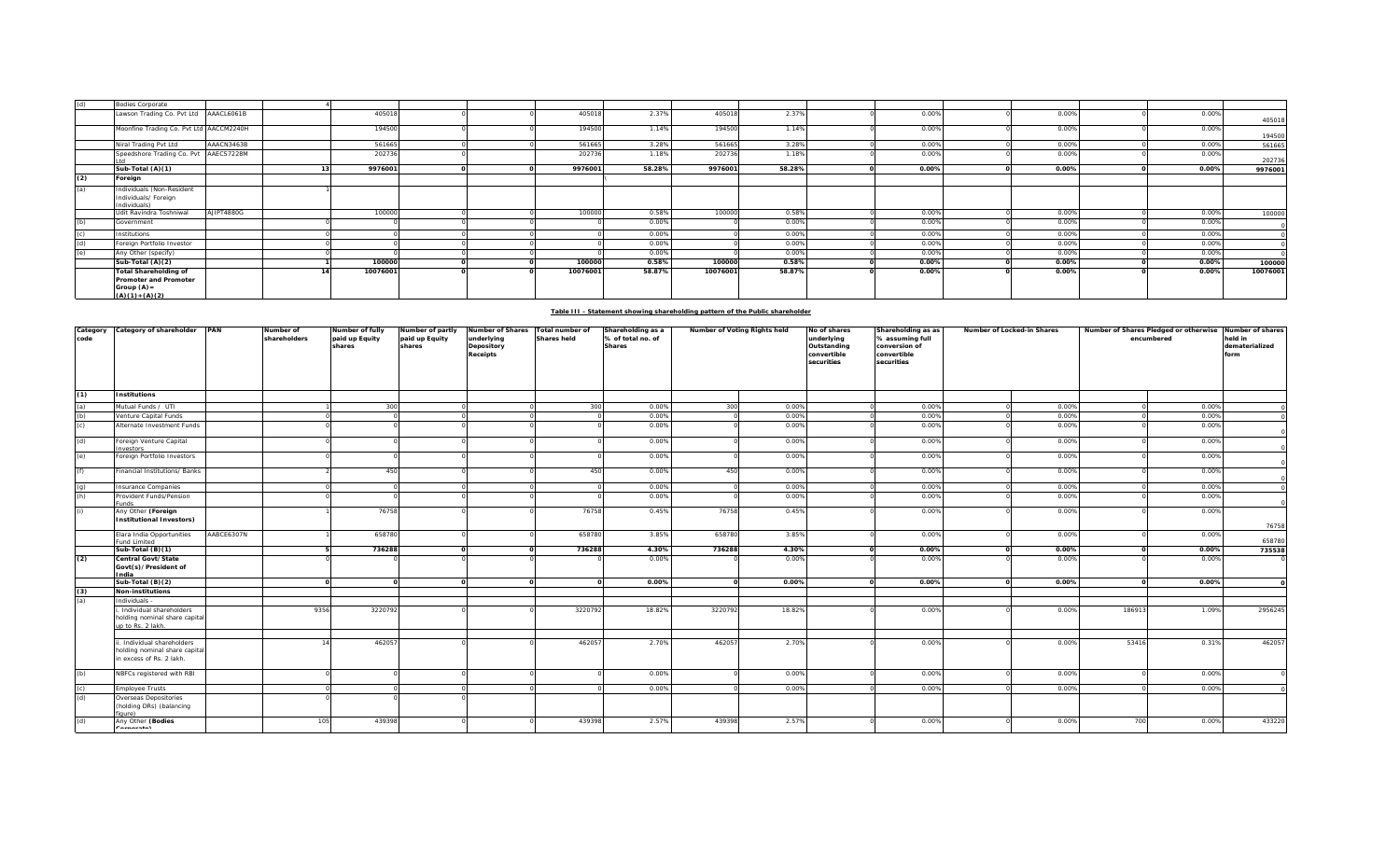| (d) | <b>Bodies Corporate</b>                                                                   |            |          |  |          |        |          |        |       |       |          |          |
|-----|-------------------------------------------------------------------------------------------|------------|----------|--|----------|--------|----------|--------|-------|-------|----------|----------|
|     | Lawson Trading Co. Pvt Ltd AAACL6061B                                                     |            | 405018   |  | 405018   | 2.37%  | 405018   | 2.37%  | 0.00% | 0.00% | 0.00%    | 405018   |
|     | Moonfine Trading Co. Pvt Ltd AACCM2240H                                                   |            | 194500   |  | 194500   | 1.14%  | 194500   | 1.14%  | 0.00% | 0.00% | 0.00%    | 194500   |
|     | Niral Trading Pvt Ltd                                                                     | AAACN3463B | 561665   |  | 561665   | 3.28%  | 561665   | 3.28%  | 0.00% | 0.00% | 0.00%    | 561665   |
|     | Speedshore Trading Co. Pvt AAECS7228M                                                     |            | 202736   |  | 202736   | 1.18%  | 202736   | 1.18%  | 0.00% | 0.00% | 0.00%    | 202736   |
|     | Sub-Total (A)(1)                                                                          |            | 9976001  |  | 9976001  | 58.28% | 9976001  | 58.28% | 0.00% | 0.00% | 0.00%    | 9976001  |
| (2) | Foreign                                                                                   |            |          |  |          |        |          |        |       |       |          |          |
| (a) | Individuals (Non-Resident<br>Individuals/ Foreign<br>Individuals)                         |            |          |  |          |        |          |        |       |       |          |          |
|     | Udit Ravindra Toshniwal                                                                   | AJIPT4880G | 100000   |  | 100000   | 0.58%  | 100000   | 0.58%  | 0.00% | 0.00% | 0.00%    | 100000   |
| (h) | Government                                                                                |            |          |  |          | 0.00%  |          | 0.00%  | 0.00% | 0.00% | 0.00%    |          |
|     | Institutions                                                                              |            |          |  |          | 0.00%  |          | 0.00%  | 0.00% | 0.00% | 0.00%    |          |
|     | Foreign Portfolio Investor                                                                |            |          |  |          | 0.00%  |          | 0.00%  | 0.00% | 0.00% | 0.00%    |          |
|     | Any Other (specify)                                                                       |            |          |  |          | 0.00%  |          | 0.00%  | 0.00% | 0.00% | 0.00%    |          |
|     | Sub-Total (A)(2)                                                                          |            | 100000   |  | 100000   | 0.58%  | 100000   | 0.58%  | 0.00% | 0.00% | $0.00\%$ | 100000   |
|     | <b>Total Shareholding of</b><br>Promoter and Promoter<br>Group $(A)$ =<br>$(A)(1)+(A)(2)$ |            | 10076001 |  | 10076001 | 58.87% | 10076001 | 58.87% | 0.00% | 0.00% | 0.00%    | 10076001 |

## **Table III - Statement showing shareholding pattern of the Public shareholder**

| Category<br>code  | Category of shareholder PAN                                                            |            | Number of<br>shareholders | Number of fully<br>paid up Equity | Number of partly<br>paid up Equity | Number of Shares<br>underlying | Total number of<br><b>Shares held</b> | Shareholding as a<br>% of total no. of | Number of Voting Rights held |        | No of shares<br>underlying               | Shareholding as as<br>% assuming full      | Number of Locked-in Shares |       | Number of Shares Pledged or otherwise Number of shares<br>encumbered |       | held in                |
|-------------------|----------------------------------------------------------------------------------------|------------|---------------------------|-----------------------------------|------------------------------------|--------------------------------|---------------------------------------|----------------------------------------|------------------------------|--------|------------------------------------------|--------------------------------------------|----------------------------|-------|----------------------------------------------------------------------|-------|------------------------|
|                   |                                                                                        |            |                           | shares                            | shares                             | Depository<br>Receipts         |                                       | <b>Shares</b>                          |                              |        | Outstanding<br>convertible<br>securities | conversion of<br>convertible<br>securities |                            |       |                                                                      |       | dematerialized<br>form |
| (1)               | <b>Institutions</b>                                                                    |            |                           |                                   |                                    |                                |                                       |                                        |                              |        |                                          |                                            |                            |       |                                                                      |       |                        |
| (a)<br>(b)<br>(c) | Mutual Funds / UTI                                                                     |            |                           | 300                               |                                    |                                | 300                                   | 0.00%                                  | 300                          | 0.00%  |                                          | 0.00%                                      |                            | 0.00% |                                                                      | 0.00% |                        |
|                   | /enture Capital Funds                                                                  |            |                           |                                   |                                    |                                |                                       | 0.00%                                  |                              | 0.00%  |                                          | 0.00%                                      |                            | 0.00% |                                                                      | 0.00% |                        |
|                   | Alternate Investment Funds                                                             |            |                           |                                   |                                    |                                |                                       | 0.00%                                  |                              | 0.00%  |                                          | 0.00%                                      |                            | 0.00% |                                                                      | 0.00% |                        |
| (d)               | Foreign Venture Capital<br>nvestors                                                    |            |                           |                                   |                                    |                                |                                       | 0.00%                                  |                              | 0.00%  |                                          | 0.00%                                      |                            | 0.00% |                                                                      | 0.00% |                        |
| (e)               | Foreign Portfolio Investors                                                            |            |                           |                                   |                                    |                                |                                       | 0.00%                                  |                              | 0.00%  |                                          | 0.00%                                      |                            | 0.00% |                                                                      | 0.00% |                        |
| (f)               | inancial Institutions/ Banks                                                           |            |                           | 450                               |                                    |                                | 450                                   | 0.00%                                  | 450                          | 0.00%  |                                          | 0.00%                                      |                            | 0.00% |                                                                      | 0.00% |                        |
| $\frac{1}{2}$     | nsurance Companies                                                                     |            |                           |                                   |                                    |                                |                                       | 0.00%                                  |                              | 0.00%  |                                          | 0.00%                                      |                            | 0.00% |                                                                      | 0.00% |                        |
|                   | Provident Funds/Pension<br>unds                                                        |            |                           |                                   |                                    |                                |                                       | 0.00%                                  |                              | 0.00%  |                                          | 0.00%                                      |                            | 0.00% |                                                                      | 0.00% |                        |
| (i)               | Any Other (Foreign<br><b>Institutional Investors)</b>                                  |            |                           | 76758                             |                                    |                                | 76758                                 | 0.45%                                  | 76758                        | 0.45%  |                                          | 0.00%                                      |                            | 0.00% |                                                                      | 0.00% |                        |
|                   |                                                                                        |            |                           |                                   |                                    |                                |                                       |                                        |                              |        |                                          |                                            |                            |       |                                                                      |       | 76758                  |
|                   | Elara India Opportunities<br>und Limited                                               | AABCE6307N |                           | 658780                            |                                    |                                | 658780                                | 3.85%                                  | 658780                       | 3.85%  |                                          | 0.00%                                      |                            | 0.00% |                                                                      | 0.00% | 658780                 |
|                   | Sub-Total (B)(1)                                                                       |            |                           | 736288                            |                                    |                                | 736288                                | 4.30%                                  | 736288                       | 4.30%  |                                          | 0.00%                                      |                            | 0.00% |                                                                      | 0.00% | 735538                 |
| (2)               | Central Govt/State<br>Govt(s)/President of<br>ndia                                     |            |                           |                                   |                                    |                                |                                       | 0.00%                                  |                              | 0.00%  |                                          | 0.00%                                      |                            | 0.00% |                                                                      | 0.00% |                        |
|                   | Sub-Total $(B)(2)$                                                                     |            |                           |                                   |                                    | $\Omega$                       |                                       | 0.00%                                  | $\Omega$                     | 0.00%  |                                          | 0.00%                                      |                            | 0.00% |                                                                      | 0.00% |                        |
| $\frac{(3)}{(a)}$ | <b>Non-institutions</b>                                                                |            |                           |                                   |                                    |                                |                                       |                                        |                              |        |                                          |                                            |                            |       |                                                                      |       |                        |
|                   | Individuals -                                                                          |            |                           |                                   |                                    |                                |                                       |                                        |                              |        |                                          |                                            |                            |       |                                                                      |       |                        |
|                   | Individual shareholders<br>holding nominal share capital<br>up to Rs. 2 lakh.          |            | 9356                      | 3220792                           |                                    |                                | 3220792                               | 18.82%                                 | 3220792                      | 18.82% |                                          | 0.00%                                      |                            | 0.00% | 18691                                                                | 1.09% | 2956245                |
|                   | . Individual shareholders<br>holding nominal share capital<br>in excess of Rs. 2 lakh. |            |                           | 462057                            |                                    |                                | 46205                                 | 2.70%                                  | 462057                       | 2.70%  |                                          | 0.00%                                      |                            | 0.00% | 53416                                                                | 0.31% | 462057                 |
| (b)               | NBFCs registered with RBI                                                              |            |                           |                                   |                                    |                                |                                       | 0.00%                                  |                              | 0.00%  |                                          | 0.00%                                      |                            | 0.00% |                                                                      | 0.00% |                        |
| $\frac{c}{d}$     | mployee Trusts                                                                         |            |                           |                                   |                                    |                                |                                       | 0.00%                                  |                              | 0.00%  |                                          | 0.00%                                      |                            | 0.00% |                                                                      | 0.00% |                        |
|                   | Overseas Depositories<br>(holding DRs) (balancing<br>(gure                             |            |                           |                                   |                                    |                                |                                       |                                        |                              |        |                                          |                                            |                            |       |                                                                      |       |                        |
| (d)               | Any Other (Bodies<br>$\cdots$                                                          |            | 105                       | 439398                            |                                    |                                | 439398                                | 2.57%                                  | 439398                       | 2.57%  |                                          | 0.00%                                      |                            | 0.00% | 700                                                                  | 0.00% | 433220                 |